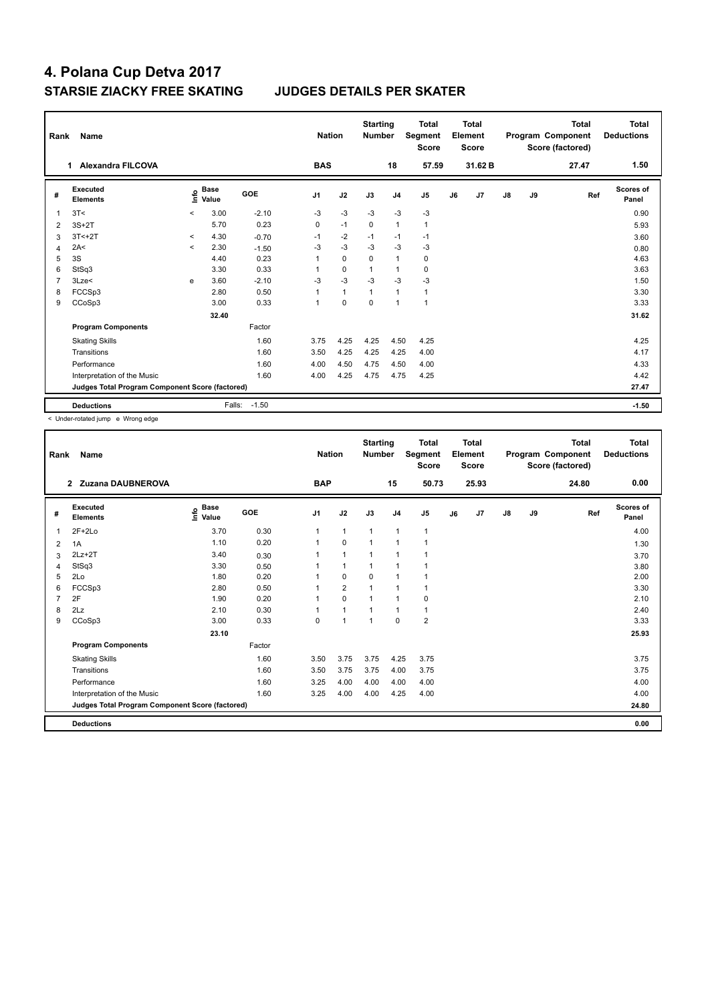|                | Rank<br>Name<br><b>Alexandra FILCOVA</b><br>1   |                          |                      |         |                | <b>Nation</b> | <b>Starting</b><br><b>Number</b> |                | <b>Total</b><br>Segment<br><b>Score</b> |    | Total<br>Element<br><b>Score</b> |               |    | <b>Total</b><br>Program Component<br>Score (factored) | <b>Total</b><br><b>Deductions</b> |
|----------------|-------------------------------------------------|--------------------------|----------------------|---------|----------------|---------------|----------------------------------|----------------|-----------------------------------------|----|----------------------------------|---------------|----|-------------------------------------------------------|-----------------------------------|
|                |                                                 |                          |                      |         | <b>BAS</b>     |               |                                  | 18             | 57.59                                   |    | 31.62 B                          |               |    | 27.47                                                 | 1.50                              |
| #              | Executed<br><b>Elements</b>                     | ١nfo                     | <b>Base</b><br>Value | GOE     | J <sub>1</sub> | J2            | J3                               | J <sub>4</sub> | J <sub>5</sub>                          | J6 | J7                               | $\mathsf{J}8$ | J9 | Ref                                                   | Scores of<br>Panel                |
| 1              | 3T<                                             | $\overline{\phantom{0}}$ | 3.00                 | $-2.10$ | $-3$           | $-3$          | $-3$                             | $-3$           | $-3$                                    |    |                                  |               |    |                                                       | 0.90                              |
| $\overline{2}$ | $3S+2T$                                         |                          | 5.70                 | 0.23    | 0              | $-1$          | $\mathbf 0$                      | $\mathbf{1}$   | $\mathbf{1}$                            |    |                                  |               |    |                                                       | 5.93                              |
| 3              | $3T < +2T$                                      | $\,<$                    | 4.30                 | $-0.70$ | $-1$           | $-2$          | $-1$                             | $-1$           | $-1$                                    |    |                                  |               |    |                                                       | 3.60                              |
| $\overline{4}$ | 2A<                                             | $\overline{\phantom{0}}$ | 2.30                 | $-1.50$ | $-3$           | $-3$          | $-3$                             | $-3$           | $-3$                                    |    |                                  |               |    |                                                       | 0.80                              |
| 5              | 3S                                              |                          | 4.40                 | 0.23    | $\mathbf{1}$   | $\mathbf 0$   | 0                                | 1              | $\pmb{0}$                               |    |                                  |               |    |                                                       | 4.63                              |
| 6              | StSq3                                           |                          | 3.30                 | 0.33    | 1              | $\Omega$      | $\mathbf{1}$                     | $\overline{1}$ | 0                                       |    |                                  |               |    |                                                       | 3.63                              |
| 7              | 3Lze<                                           | e                        | 3.60                 | $-2.10$ | $-3$           | $-3$          | $-3$                             | $-3$           | $-3$                                    |    |                                  |               |    |                                                       | 1.50                              |
| 8              | FCCSp3                                          |                          | 2.80                 | 0.50    | $\mathbf{1}$   | $\mathbf{1}$  | $\mathbf{1}$                     | $\overline{1}$ | $\mathbf{1}$                            |    |                                  |               |    |                                                       | 3.30                              |
| 9              | CCoSp3                                          |                          | 3.00                 | 0.33    | $\overline{1}$ | $\Omega$      | $\mathbf 0$                      | $\overline{1}$ | $\overline{1}$                          |    |                                  |               |    |                                                       | 3.33                              |
|                |                                                 |                          | 32.40                |         |                |               |                                  |                |                                         |    |                                  |               |    |                                                       | 31.62                             |
|                | <b>Program Components</b>                       |                          |                      | Factor  |                |               |                                  |                |                                         |    |                                  |               |    |                                                       |                                   |
|                | <b>Skating Skills</b>                           |                          |                      | 1.60    | 3.75           | 4.25          | 4.25                             | 4.50           | 4.25                                    |    |                                  |               |    |                                                       | 4.25                              |
|                | Transitions                                     |                          |                      | 1.60    | 3.50           | 4.25          | 4.25                             | 4.25           | 4.00                                    |    |                                  |               |    |                                                       | 4.17                              |
|                | Performance                                     |                          |                      | 1.60    | 4.00           | 4.50          | 4.75                             | 4.50           | 4.00                                    |    |                                  |               |    |                                                       | 4.33                              |
|                | Interpretation of the Music                     |                          |                      | 1.60    | 4.00           | 4.25          | 4.75                             | 4.75           | 4.25                                    |    |                                  |               |    |                                                       | 4.42                              |
|                | Judges Total Program Component Score (factored) |                          |                      |         |                |               |                                  |                |                                         |    |                                  |               |    |                                                       | 27.47                             |
|                | <b>Deductions</b>                               |                          | Falls:               | $-1.50$ |                |               |                                  |                |                                         |    |                                  |               |    |                                                       | $-1.50$                           |

< Under-rotated jump e Wrong edge

| Rank | Name<br>2 Zuzana DAUBNEROVA                     |                                  |        |                | <b>Nation</b>  | <b>Starting</b><br><b>Number</b> |                          | <b>Total</b><br>Segment<br><b>Score</b> |    | <b>Total</b><br>Element<br><b>Score</b> |               |    | Total<br>Program Component<br>Score (factored) | <b>Total</b><br><b>Deductions</b> |
|------|-------------------------------------------------|----------------------------------|--------|----------------|----------------|----------------------------------|--------------------------|-----------------------------------------|----|-----------------------------------------|---------------|----|------------------------------------------------|-----------------------------------|
|      |                                                 |                                  |        | <b>BAP</b>     |                |                                  | 15                       | 50.73                                   |    | 25.93                                   |               |    | 24.80                                          | 0.00                              |
| #    | <b>Executed</b><br><b>Elements</b>              | <b>Base</b><br>e Base<br>⊆ Value | GOE    | J <sub>1</sub> | J2             | J3                               | J <sub>4</sub>           | J <sub>5</sub>                          | J6 | J7                                      | $\mathsf{J}8$ | J9 | Ref                                            | Scores of<br>Panel                |
| 1    | $2F+2Lo$                                        | 3.70                             | 0.30   | 1              | $\mathbf{1}$   | $\mathbf{1}$                     | $\mathbf{1}$             | $\mathbf{1}$                            |    |                                         |               |    |                                                | 4.00                              |
| 2    | 1A                                              | 1.10                             | 0.20   |                | $\mathbf 0$    |                                  | $\overline{1}$           | $\overline{1}$                          |    |                                         |               |    |                                                | 1.30                              |
| 3    | $2Lz+2T$                                        | 3.40                             | 0.30   |                | $\mathbf{1}$   |                                  | $\overline{\phantom{a}}$ |                                         |    |                                         |               |    |                                                | 3.70                              |
| 4    | StSq3                                           | 3.30                             | 0.50   |                | $\mathbf{1}$   | 1                                | $\overline{1}$           | $\overline{1}$                          |    |                                         |               |    |                                                | 3.80                              |
| 5    | 2Lo                                             | 1.80                             | 0.20   |                | $\mathbf 0$    | $\mathbf 0$                      | $\mathbf{1}$             | 1                                       |    |                                         |               |    |                                                | 2.00                              |
| 6    | FCCSp3                                          | 2.80                             | 0.50   |                | $\overline{2}$ | $\overline{1}$                   | $\overline{1}$           | 1                                       |    |                                         |               |    |                                                | 3.30                              |
|      | 2F                                              | 1.90                             | 0.20   |                | $\mathbf 0$    |                                  | $\overline{1}$           | 0                                       |    |                                         |               |    |                                                | 2.10                              |
| 8    | 2Lz                                             | 2.10                             | 0.30   |                | $\mathbf{1}$   |                                  | $\mathbf 1$              | $\mathbf{1}$                            |    |                                         |               |    |                                                | 2.40                              |
| 9    | CCoSp3                                          | 3.00                             | 0.33   | 0              | $\overline{1}$ | 1                                | $\mathbf 0$              | $\overline{2}$                          |    |                                         |               |    |                                                | 3.33                              |
|      |                                                 | 23.10                            |        |                |                |                                  |                          |                                         |    |                                         |               |    |                                                | 25.93                             |
|      | <b>Program Components</b>                       |                                  | Factor |                |                |                                  |                          |                                         |    |                                         |               |    |                                                |                                   |
|      | <b>Skating Skills</b>                           |                                  | 1.60   | 3.50           | 3.75           | 3.75                             | 4.25                     | 3.75                                    |    |                                         |               |    |                                                | 3.75                              |
|      | Transitions                                     |                                  | 1.60   | 3.50           | 3.75           | 3.75                             | 4.00                     | 3.75                                    |    |                                         |               |    |                                                | 3.75                              |
|      | Performance                                     |                                  | 1.60   | 3.25           | 4.00           | 4.00                             | 4.00                     | 4.00                                    |    |                                         |               |    |                                                | 4.00                              |
|      | Interpretation of the Music                     |                                  | 1.60   | 3.25           | 4.00           | 4.00                             | 4.25                     | 4.00                                    |    |                                         |               |    |                                                | 4.00                              |
|      | Judges Total Program Component Score (factored) |                                  |        |                |                |                                  |                          |                                         |    |                                         |               |    |                                                | 24.80                             |
|      | <b>Deductions</b>                               |                                  |        |                |                |                                  |                          |                                         |    |                                         |               |    |                                                | 0.00                              |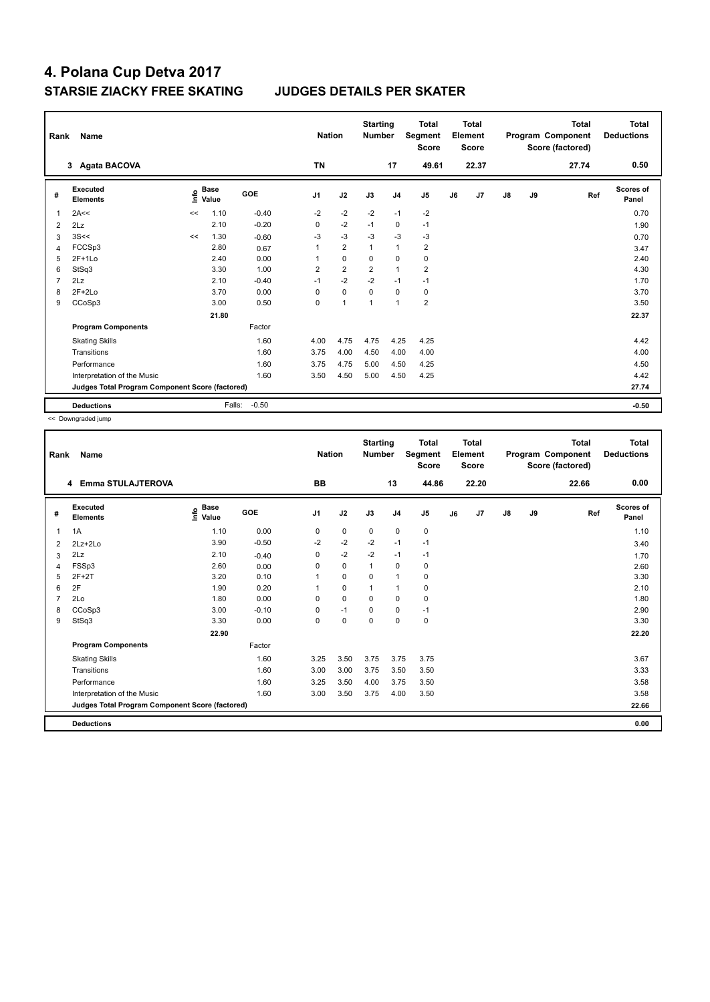| Rank           | Name                                            | <b>Nation</b> |                      | <b>Starting</b><br><b>Number</b> |                | <b>Total</b><br>Segment<br><b>Score</b> |                | Total<br>Element<br><b>Score</b> |                |    | <b>Total</b><br>Program Component<br>Score (factored) | <b>Total</b><br><b>Deductions</b> |    |       |                    |
|----------------|-------------------------------------------------|---------------|----------------------|----------------------------------|----------------|-----------------------------------------|----------------|----------------------------------|----------------|----|-------------------------------------------------------|-----------------------------------|----|-------|--------------------|
|                | 3 Agata BACOVA                                  |               |                      |                                  | <b>TN</b>      |                                         |                | 17                               | 49.61          |    | 22.37                                                 |                                   |    | 27.74 | 0.50               |
| #              | Executed<br><b>Elements</b>                     | ١nfo          | <b>Base</b><br>Value | GOE                              | J <sub>1</sub> | J2                                      | J3             | J <sub>4</sub>                   | J <sub>5</sub> | J6 | J <sub>7</sub>                                        | $\mathsf{J}8$                     | J9 | Ref   | Scores of<br>Panel |
| 1              | 2A<<                                            | <<            | 1.10                 | $-0.40$                          | $-2$           | $-2$                                    | $-2$           | $-1$                             | $-2$           |    |                                                       |                                   |    |       | 0.70               |
| $\overline{2}$ | 2Lz                                             |               | 2.10                 | $-0.20$                          | 0              | $-2$                                    | $-1$           | 0                                | $-1$           |    |                                                       |                                   |    |       | 1.90               |
| 3              | 3S<<                                            | <<            | 1.30                 | $-0.60$                          | $-3$           | $-3$                                    | $-3$           | $-3$                             | $-3$           |    |                                                       |                                   |    |       | 0.70               |
| 4              | FCCSp3                                          |               | 2.80                 | 0.67                             | 1              | $\overline{2}$                          | $\mathbf{1}$   | $\mathbf{1}$                     | $\overline{2}$ |    |                                                       |                                   |    |       | 3.47               |
| 5              | $2F+1Lo$                                        |               | 2.40                 | 0.00                             | 1              | $\mathbf 0$                             | 0              | $\mathbf 0$                      | $\pmb{0}$      |    |                                                       |                                   |    |       | 2.40               |
| 6              | StSq3                                           |               | 3.30                 | 1.00                             | $\overline{2}$ | $\overline{2}$                          | $\overline{2}$ | $\overline{1}$                   | $\overline{2}$ |    |                                                       |                                   |    |       | 4.30               |
| 7              | 2Lz                                             |               | 2.10                 | $-0.40$                          | $-1$           | $-2$                                    | $-2$           | $-1$                             | $-1$           |    |                                                       |                                   |    |       | 1.70               |
| 8              | $2F+2Lo$                                        |               | 3.70                 | 0.00                             | $\Omega$       | $\mathbf 0$                             | 0              | 0                                | 0              |    |                                                       |                                   |    |       | 3.70               |
| 9              | CCoSp3                                          |               | 3.00                 | 0.50                             | 0              | $\overline{1}$                          | 1              | $\overline{1}$                   | $\overline{2}$ |    |                                                       |                                   |    |       | 3.50               |
|                |                                                 |               | 21.80                |                                  |                |                                         |                |                                  |                |    |                                                       |                                   |    |       | 22.37              |
|                | <b>Program Components</b>                       |               |                      | Factor                           |                |                                         |                |                                  |                |    |                                                       |                                   |    |       |                    |
|                | <b>Skating Skills</b>                           |               |                      | 1.60                             | 4.00           | 4.75                                    | 4.75           | 4.25                             | 4.25           |    |                                                       |                                   |    |       | 4.42               |
|                | Transitions                                     |               |                      | 1.60                             | 3.75           | 4.00                                    | 4.50           | 4.00                             | 4.00           |    |                                                       |                                   |    |       | 4.00               |
|                | Performance                                     |               |                      | 1.60                             | 3.75           | 4.75                                    | 5.00           | 4.50                             | 4.25           |    |                                                       |                                   |    |       | 4.50               |
|                | Interpretation of the Music                     |               |                      | 1.60                             | 3.50           | 4.50                                    | 5.00           | 4.50                             | 4.25           |    |                                                       |                                   |    |       | 4.42               |
|                | Judges Total Program Component Score (factored) |               |                      |                                  |                |                                         |                |                                  |                |    |                                                       |                                   |    |       | 27.74              |
|                | <b>Deductions</b>                               |               | Falls:               | $-0.50$                          |                |                                         |                |                                  |                |    |                                                       |                                   |    |       | $-0.50$            |

<< Downgraded jump

| Rank | Name                                            |                                  |            | <b>Nation</b>  |             | <b>Starting</b><br><b>Number</b> |                | <b>Total</b><br>Segment<br><b>Score</b> |    | <b>Total</b><br>Element<br><b>Score</b> |               |    | <b>Total</b><br>Program Component<br>Score (factored) | <b>Total</b><br><b>Deductions</b> |
|------|-------------------------------------------------|----------------------------------|------------|----------------|-------------|----------------------------------|----------------|-----------------------------------------|----|-----------------------------------------|---------------|----|-------------------------------------------------------|-----------------------------------|
|      | Emma STULAJTEROVA<br>4                          |                                  |            | <b>BB</b>      |             |                                  | 13             | 44.86                                   |    | 22.20                                   |               |    | 22.66                                                 | 0.00                              |
| #    | Executed<br><b>Elements</b>                     | <b>Base</b><br>e Base<br>⊆ Value | <b>GOE</b> | J <sub>1</sub> | J2          | J3                               | J <sub>4</sub> | J5                                      | J6 | J7                                      | $\mathsf{J}8$ | J9 | Ref                                                   | <b>Scores of</b><br>Panel         |
| 1    | 1A                                              | 1.10                             | 0.00       | 0              | $\pmb{0}$   | $\mathbf 0$                      | 0              | 0                                       |    |                                         |               |    |                                                       | 1.10                              |
| 2    | $2Lz + 2Lo$                                     | 3.90                             | $-0.50$    | $-2$           | $-2$        | $-2$                             | $-1$           | $-1$                                    |    |                                         |               |    |                                                       | 3.40                              |
| 3    | 2Lz                                             | 2.10                             | $-0.40$    | 0              | $-2$        | $-2$                             | $-1$           | $-1$                                    |    |                                         |               |    |                                                       | 1.70                              |
| 4    | FSSp3                                           | 2.60                             | 0.00       | 0              | $\mathbf 0$ | $\mathbf{1}$                     | $\mathbf 0$    | 0                                       |    |                                         |               |    |                                                       | 2.60                              |
| 5    | $2F+2T$                                         | 3.20                             | 0.10       |                | $\mathbf 0$ | $\mathbf 0$                      | $\mathbf{1}$   | 0                                       |    |                                         |               |    |                                                       | 3.30                              |
| 6    | 2F                                              | 1.90                             | 0.20       |                | $\mathbf 0$ | $\mathbf{1}$                     | $\mathbf{1}$   | $\pmb{0}$                               |    |                                         |               |    |                                                       | 2.10                              |
|      | 2Lo                                             | 1.80                             | 0.00       | $\Omega$       | 0           | $\Omega$                         | 0              | 0                                       |    |                                         |               |    |                                                       | 1.80                              |
| 8    | CCoSp3                                          | 3.00                             | $-0.10$    | 0              | $-1$        | $\mathbf 0$                      | 0              | $-1$                                    |    |                                         |               |    |                                                       | 2.90                              |
| 9    | StSq3                                           | 3.30                             | 0.00       | 0              | $\mathbf 0$ | $\mathbf 0$                      | $\mathbf 0$    | $\pmb{0}$                               |    |                                         |               |    |                                                       | 3.30                              |
|      |                                                 | 22.90                            |            |                |             |                                  |                |                                         |    |                                         |               |    |                                                       | 22.20                             |
|      | <b>Program Components</b>                       |                                  | Factor     |                |             |                                  |                |                                         |    |                                         |               |    |                                                       |                                   |
|      | <b>Skating Skills</b>                           |                                  | 1.60       | 3.25           | 3.50        | 3.75                             | 3.75           | 3.75                                    |    |                                         |               |    |                                                       | 3.67                              |
|      | Transitions                                     |                                  | 1.60       | 3.00           | 3.00        | 3.75                             | 3.50           | 3.50                                    |    |                                         |               |    |                                                       | 3.33                              |
|      | Performance                                     |                                  | 1.60       | 3.25           | 3.50        | 4.00                             | 3.75           | 3.50                                    |    |                                         |               |    |                                                       | 3.58                              |
|      | Interpretation of the Music                     |                                  | 1.60       | 3.00           | 3.50        | 3.75                             | 4.00           | 3.50                                    |    |                                         |               |    |                                                       | 3.58                              |
|      | Judges Total Program Component Score (factored) |                                  |            |                |             |                                  |                |                                         |    |                                         |               |    |                                                       | 22.66                             |
|      | <b>Deductions</b>                               |                                  |            |                |             |                                  |                |                                         |    |                                         |               |    |                                                       | 0.00                              |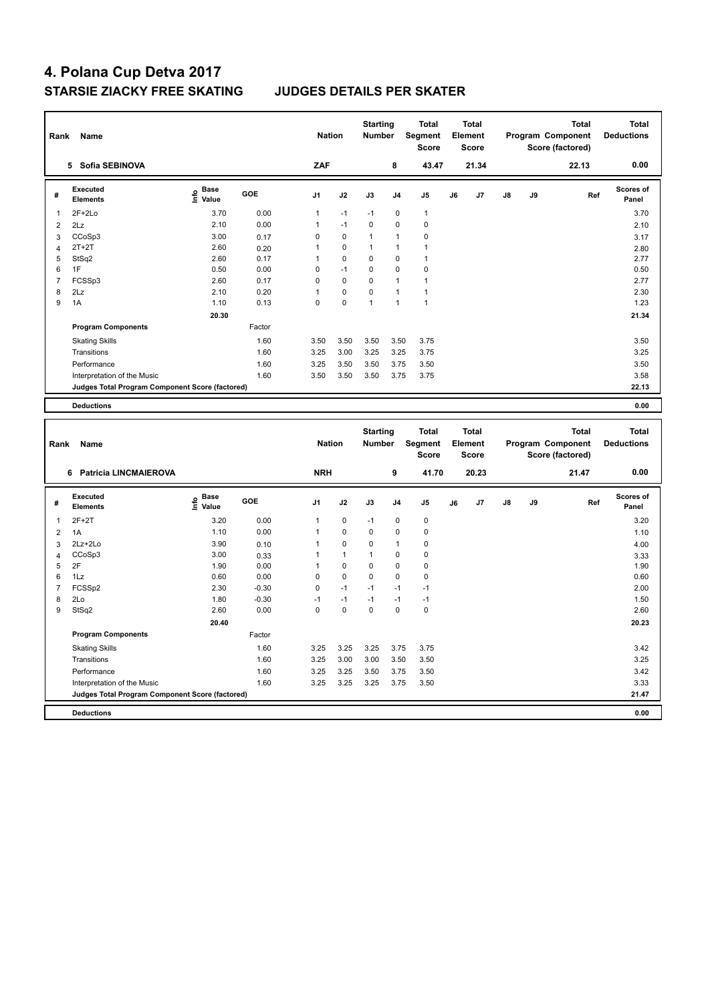| Rank           | Name                                            |                                           |         | <b>Nation</b>  |              | <b>Starting</b><br><b>Number</b> |                | <b>Total</b><br>Segment<br><b>Score</b> |    | <b>Total</b><br>Element<br><b>Score</b> |    |    | Program Component<br>Score (factored) | <b>Total</b> | <b>Total</b><br><b>Deductions</b> |
|----------------|-------------------------------------------------|-------------------------------------------|---------|----------------|--------------|----------------------------------|----------------|-----------------------------------------|----|-----------------------------------------|----|----|---------------------------------------|--------------|-----------------------------------|
|                | 5 Sofia SEBINOVA                                |                                           |         | ZAF            |              |                                  | 8              | 43.47                                   |    | 21.34                                   |    |    | 22.13                                 |              | 0.00                              |
| #              | <b>Executed</b><br><b>Elements</b>              | $\frac{6}{5}$ Base<br>$\frac{1}{5}$ Value | GOE     | J <sub>1</sub> | J2           | J3                               | J <sub>4</sub> | J <sub>5</sub>                          | J6 | J7                                      | J8 | J9 |                                       | Ref          | Scores of<br>Panel                |
| $\mathbf{1}$   | $2F+2Lo$                                        | 3.70                                      | 0.00    | 1              | $-1$         | $-1$                             | 0              | $\overline{1}$                          |    |                                         |    |    |                                       |              | 3.70                              |
| $\overline{2}$ | 2Lz                                             | 2.10                                      | 0.00    | $\mathbf{1}$   | $-1$         | 0                                | 0              | $\pmb{0}$                               |    |                                         |    |    |                                       |              | 2.10                              |
| $\mathbf{3}$   | CCoSp3                                          | 3.00                                      | 0.17    | $\mathbf 0$    | $\mathbf 0$  | $\mathbf{1}$                     | $\mathbf{1}$   | $\mathbf 0$                             |    |                                         |    |    |                                       |              | 3.17                              |
| $\overline{4}$ | $2T+2T$                                         | 2.60                                      | 0.20    | 1              | 0            | $\mathbf{1}$                     | 1              | $\mathbf{1}$                            |    |                                         |    |    |                                       |              | 2.80                              |
| 5              | StSq2                                           | 2.60                                      | 0.17    | $\mathbf{1}$   | $\Omega$     | $\Omega$                         | $\Omega$       | $\mathbf{1}$                            |    |                                         |    |    |                                       |              | 2.77                              |
| 6              | 1F                                              | 0.50                                      | 0.00    | $\mathbf 0$    | $-1$         | 0                                | $\mathbf 0$    | $\pmb{0}$                               |    |                                         |    |    |                                       |              | 0.50                              |
| $\overline{7}$ | FCSSp3                                          | 2.60                                      | 0.17    | $\mathbf 0$    | 0            | 0                                | 1              | $\mathbf{1}$                            |    |                                         |    |    |                                       |              | 2.77                              |
| 8              | 2Lz                                             | 2.10                                      | 0.20    | $\overline{1}$ | $\pmb{0}$    | 0                                | $\mathbf{1}$   | $\overline{1}$                          |    |                                         |    |    |                                       |              | 2.30                              |
| 9              | 1A                                              | 1.10                                      | 0.13    | $\mathbf 0$    | $\mathbf 0$  | $\mathbf{1}$                     | $\overline{1}$ | $\overline{1}$                          |    |                                         |    |    |                                       |              | 1.23                              |
|                |                                                 | 20.30                                     |         |                |              |                                  |                |                                         |    |                                         |    |    |                                       |              | 21.34                             |
|                | <b>Program Components</b>                       |                                           | Factor  |                |              |                                  |                |                                         |    |                                         |    |    |                                       |              |                                   |
|                | <b>Skating Skills</b>                           |                                           | 1.60    | 3.50           | 3.50         | 3.50                             | 3.50           | 3.75                                    |    |                                         |    |    |                                       |              | 3.50                              |
|                | Transitions                                     |                                           | 1.60    | 3.25           | 3.00         | 3.25                             | 3.25           | 3.75                                    |    |                                         |    |    |                                       |              | 3.25                              |
|                | Performance                                     |                                           | 1.60    | 3.25           | 3.50         | 3.50                             | 3.75           | 3.50                                    |    |                                         |    |    |                                       |              | 3.50                              |
|                | Interpretation of the Music                     |                                           | 1.60    | 3.50           | 3.50         | 3.50                             | 3.75           | 3.75                                    |    |                                         |    |    |                                       |              | 3.58                              |
|                | Judges Total Program Component Score (factored) |                                           |         |                |              |                                  |                |                                         |    |                                         |    |    |                                       |              | 22.13                             |
|                |                                                 |                                           |         |                |              |                                  |                |                                         |    |                                         |    |    |                                       |              |                                   |
|                | <b>Deductions</b>                               |                                           |         |                |              |                                  |                |                                         |    |                                         |    |    |                                       |              | 0.00                              |
|                |                                                 |                                           |         |                |              |                                  |                |                                         |    |                                         |    |    |                                       |              |                                   |
|                |                                                 |                                           |         |                |              | <b>Starting</b>                  |                | <b>Total</b>                            |    | <b>Total</b>                            |    |    |                                       | <b>Total</b> | <b>Total</b>                      |
| Rank           | Name                                            |                                           |         | <b>Nation</b>  |              | Number                           |                | Segment<br><b>Score</b>                 |    | Element<br><b>Score</b>                 |    |    | Program Component<br>Score (factored) |              | <b>Deductions</b>                 |
|                | 6 Patricia LINCMAIEROVA                         |                                           |         | <b>NRH</b>     |              |                                  | 9              | 41.70                                   |    | 20.23                                   |    |    | 21.47                                 |              | 0.00                              |
|                |                                                 |                                           |         |                |              |                                  |                |                                         |    |                                         |    |    |                                       |              |                                   |
| #              | <b>Executed</b><br><b>Elements</b>              | $\overset{\circ}{\text{E}}$ Value         | GOE     | J <sub>1</sub> | J2           | J3                               | J4             | J5                                      | J6 | J7                                      | J8 | J9 |                                       | Ref          | Scores of<br>Panel                |
| $\mathbf{1}$   | $2F+2T$                                         | 3.20                                      | 0.00    | 1              | 0            | $-1$                             | $\mathbf 0$    | $\pmb{0}$                               |    |                                         |    |    |                                       |              | 3.20                              |
| $\overline{2}$ | 1A                                              | 1.10                                      | 0.00    | 1              | 0            | 0                                | 0              | $\pmb{0}$                               |    |                                         |    |    |                                       |              | 1.10                              |
| 3              | 2Lz+2Lo                                         | 3.90                                      | 0.10    | 1              | 0            | 0                                | 1              | $\pmb{0}$                               |    |                                         |    |    |                                       |              | 4.00                              |
| $\overline{4}$ | CCoSp3                                          | 3.00                                      | 0.33    | 1              | $\mathbf{1}$ | $\mathbf{1}$                     | $\mathbf 0$    | $\mathbf 0$                             |    |                                         |    |    |                                       |              | 3.33                              |
| 5              | 2F                                              | 1.90                                      | 0.00    | $\mathbf{1}$   | $\mathbf 0$  | 0                                | $\mathbf 0$    | $\pmb{0}$                               |    |                                         |    |    |                                       |              | 1.90                              |
| 6              | 1Lz                                             | 0.60                                      | 0.00    | $\mathbf 0$    | 0            | 0                                | 0              | $\mathbf 0$                             |    |                                         |    |    |                                       |              | 0.60                              |
| $\overline{7}$ | FCSSp2                                          | 2.30                                      | $-0.30$ | $\mathbf 0$    | $-1$         | $-1$                             | $-1$           | $-1$                                    |    |                                         |    |    |                                       |              | 2.00                              |
| 8              | 2Lo                                             | 1.80                                      | $-0.30$ | $-1$           | $-1$         | $-1$                             | $-1$           | $-1$                                    |    |                                         |    |    |                                       |              | 1.50                              |
| 9              | StSq2                                           | 2.60                                      | 0.00    | $\mathbf 0$    | 0            | 0                                | $\mathbf 0$    | $\pmb{0}$                               |    |                                         |    |    |                                       |              | 2.60                              |
|                |                                                 | 20.40                                     |         |                |              |                                  |                |                                         |    |                                         |    |    |                                       |              | 20.23                             |
|                | <b>Program Components</b>                       |                                           | Factor  |                |              |                                  |                |                                         |    |                                         |    |    |                                       |              |                                   |
|                | <b>Skating Skills</b>                           |                                           | 1.60    | 3.25           | 3.25         | 3.25                             | 3.75           | 3.75                                    |    |                                         |    |    |                                       |              | 3.42                              |
|                | Transitions                                     |                                           | 1.60    | 3.25           | 3.00         | 3.00                             | 3.50           | 3.50                                    |    |                                         |    |    |                                       |              | 3.25                              |
|                | Performance                                     |                                           | 1.60    | 3.25           | 3.25         | 3.50                             | 3.75           | 3.50                                    |    |                                         |    |    |                                       |              | 3.42                              |
|                | Interpretation of the Music                     |                                           | 1.60    | 3.25           | 3.25         | 3.25                             | 3.75           | 3.50                                    |    |                                         |    |    |                                       |              | 3.33                              |
|                | Judges Total Program Component Score (factored) |                                           |         |                |              |                                  |                |                                         |    |                                         |    |    |                                       |              | 21.47                             |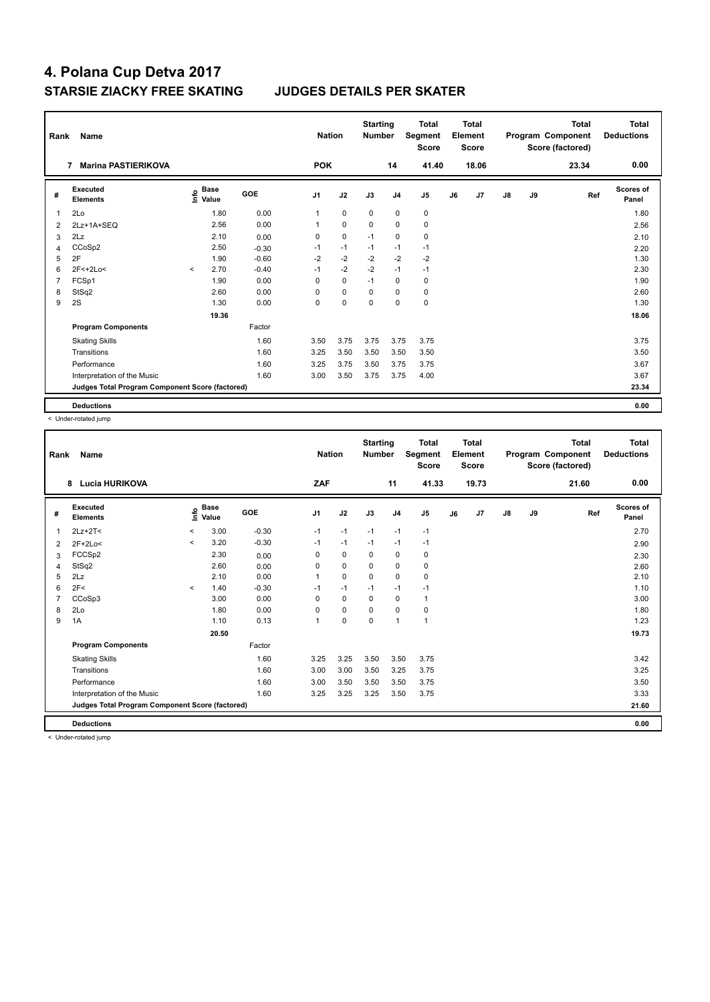| Rank           | Name                                            | <b>Nation</b> |                                                    | <b>Starting</b><br><b>Number</b> |                | <b>Total</b><br>Segment<br><b>Score</b> |             | Total<br>Element<br><b>Score</b> |                |    | <b>Total</b><br>Program Component<br>Score (factored) | Total<br><b>Deductions</b> |    |       |                           |
|----------------|-------------------------------------------------|---------------|----------------------------------------------------|----------------------------------|----------------|-----------------------------------------|-------------|----------------------------------|----------------|----|-------------------------------------------------------|----------------------------|----|-------|---------------------------|
|                | <b>Marina PASTIERIKOVA</b><br>7                 |               |                                                    |                                  | <b>POK</b>     |                                         |             | 14                               | 41.40          |    | 18.06                                                 |                            |    | 23.34 | 0.00                      |
| #              | <b>Executed</b><br><b>Elements</b>              |               | $\frac{e}{E}$ Base<br>$\frac{E}{E}$ Value<br>Value | <b>GOE</b>                       | J <sub>1</sub> | J2                                      | J3          | J <sub>4</sub>                   | J <sub>5</sub> | J6 | J7                                                    | $\mathsf{J}8$              | J9 | Ref   | <b>Scores of</b><br>Panel |
| 1              | 2Lo                                             |               | 1.80                                               | 0.00                             | 1              | $\mathbf 0$                             | $\mathbf 0$ | $\mathbf 0$                      | 0              |    |                                                       |                            |    |       | 1.80                      |
| $\overline{2}$ | 2Lz+1A+SEQ                                      |               | 2.56                                               | 0.00                             | 1              | $\mathbf 0$                             | 0           | $\mathbf 0$                      | $\mathbf 0$    |    |                                                       |                            |    |       | 2.56                      |
| 3              | 2Lz                                             |               | 2.10                                               | 0.00                             | 0              | $\mathbf 0$                             | $-1$        | 0                                | 0              |    |                                                       |                            |    |       | 2.10                      |
| 4              | CCoSp2                                          |               | 2.50                                               | $-0.30$                          | $-1$           | $-1$                                    | $-1$        | $-1$                             | $-1$           |    |                                                       |                            |    |       | 2.20                      |
| 5              | 2F                                              |               | 1.90                                               | $-0.60$                          | $-2$           | $-2$                                    | $-2$        | $-2$                             | $-2$           |    |                                                       |                            |    |       | 1.30                      |
| 6              | 2F<+2Lo<                                        | $\prec$       | 2.70                                               | $-0.40$                          | $-1$           | $-2$                                    | $-2$        | $-1$                             | $-1$           |    |                                                       |                            |    |       | 2.30                      |
| $\overline{7}$ | FCSp1                                           |               | 1.90                                               | 0.00                             | 0              | $\mathbf 0$                             | $-1$        | $\mathbf 0$                      | 0              |    |                                                       |                            |    |       | 1.90                      |
| 8              | StSq2                                           |               | 2.60                                               | 0.00                             | 0              | $\mathbf 0$                             | $\Omega$    | $\mathbf 0$                      | $\mathbf 0$    |    |                                                       |                            |    |       | 2.60                      |
| 9              | 2S                                              |               | 1.30                                               | 0.00                             | 0              | $\mathbf 0$                             | $\mathbf 0$ | $\mathbf 0$                      | $\mathbf 0$    |    |                                                       |                            |    |       | 1.30                      |
|                |                                                 |               | 19.36                                              |                                  |                |                                         |             |                                  |                |    |                                                       |                            |    |       | 18.06                     |
|                | <b>Program Components</b>                       |               |                                                    | Factor                           |                |                                         |             |                                  |                |    |                                                       |                            |    |       |                           |
|                | <b>Skating Skills</b>                           |               |                                                    | 1.60                             | 3.50           | 3.75                                    | 3.75        | 3.75                             | 3.75           |    |                                                       |                            |    |       | 3.75                      |
|                | Transitions                                     |               |                                                    | 1.60                             | 3.25           | 3.50                                    | 3.50        | 3.50                             | 3.50           |    |                                                       |                            |    |       | 3.50                      |
|                | Performance                                     |               |                                                    | 1.60                             | 3.25           | 3.75                                    | 3.50        | 3.75                             | 3.75           |    |                                                       |                            |    |       | 3.67                      |
|                | Interpretation of the Music                     |               |                                                    | 1.60                             | 3.00           | 3.50                                    | 3.75        | 3.75                             | 4.00           |    |                                                       |                            |    |       | 3.67                      |
|                | Judges Total Program Component Score (factored) |               |                                                    |                                  |                |                                         |             |                                  |                |    |                                                       |                            |    |       | 23.34                     |
|                | <b>Deductions</b>                               |               |                                                    |                                  |                |                                         |             |                                  |                |    |                                                       |                            |    |       | 0.00                      |

< Under-rotated jump

| Rank | <b>Name</b>                                     |         |                      |         | <b>Nation</b>  |             | <b>Starting</b><br><b>Number</b> |                | <b>Total</b><br>Segment<br><b>Score</b> |    | <b>Total</b><br>Element<br><b>Score</b> |               |    | Total<br>Program Component<br>Score (factored) | <b>Total</b><br><b>Deductions</b> |
|------|-------------------------------------------------|---------|----------------------|---------|----------------|-------------|----------------------------------|----------------|-----------------------------------------|----|-----------------------------------------|---------------|----|------------------------------------------------|-----------------------------------|
|      | <b>Lucia HURIKOVA</b><br>8                      |         |                      |         | ZAF            |             |                                  | 11             | 41.33                                   |    | 19.73                                   |               |    | 21.60                                          | 0.00                              |
| #    | Executed<br><b>Elements</b>                     | lnfo    | <b>Base</b><br>Value | GOE     | J <sub>1</sub> | J2          | J3                               | J <sub>4</sub> | J <sub>5</sub>                          | J6 | J7                                      | $\mathsf{J}8$ | J9 | Ref                                            | Scores of<br>Panel                |
| 1    | $2Lz+2T<$                                       | $\,<\,$ | 3.00                 | $-0.30$ | $-1$           | $-1$        | $-1$                             | $-1$           | $-1$                                    |    |                                         |               |    |                                                | 2.70                              |
| 2    | $2F+2Lo<$                                       | $\prec$ | 3.20                 | $-0.30$ | -1             | $-1$        | $-1$                             | $-1$           | $-1$                                    |    |                                         |               |    |                                                | 2.90                              |
| 3    | FCCSp2                                          |         | 2.30                 | 0.00    | 0              | $\mathbf 0$ | 0                                | $\mathbf 0$    | $\pmb{0}$                               |    |                                         |               |    |                                                | 2.30                              |
| 4    | StSq2                                           |         | 2.60                 | 0.00    | 0              | $\mathbf 0$ | 0                                | 0              | 0                                       |    |                                         |               |    |                                                | 2.60                              |
| 5    | 2Lz                                             |         | 2.10                 | 0.00    | 1              | $\mathbf 0$ | $\mathbf 0$                      | $\mathbf 0$    | $\pmb{0}$                               |    |                                         |               |    |                                                | 2.10                              |
| 6    | 2F<                                             | $\prec$ | 1.40                 | $-0.30$ | $-1$           | $-1$        | $-1$                             | $-1$           | -1                                      |    |                                         |               |    |                                                | 1.10                              |
| 7    | CCoSp3                                          |         | 3.00                 | 0.00    | 0              | $\mathbf 0$ | 0                                | 0              | $\mathbf{1}$                            |    |                                         |               |    |                                                | 3.00                              |
| 8    | 2Lo                                             |         | 1.80                 | 0.00    | 0              | $\mathbf 0$ | $\Omega$                         | $\mathbf 0$    | $\pmb{0}$                               |    |                                         |               |    |                                                | 1.80                              |
| 9    | 1A                                              |         | 1.10                 | 0.13    | 1              | $\mathbf 0$ | 0                                | $\overline{1}$ | $\mathbf{1}$                            |    |                                         |               |    |                                                | 1.23                              |
|      |                                                 |         | 20.50                |         |                |             |                                  |                |                                         |    |                                         |               |    |                                                | 19.73                             |
|      | <b>Program Components</b>                       |         |                      | Factor  |                |             |                                  |                |                                         |    |                                         |               |    |                                                |                                   |
|      | <b>Skating Skills</b>                           |         |                      | 1.60    | 3.25           | 3.25        | 3.50                             | 3.50           | 3.75                                    |    |                                         |               |    |                                                | 3.42                              |
|      | Transitions                                     |         |                      | 1.60    | 3.00           | 3.00        | 3.50                             | 3.25           | 3.75                                    |    |                                         |               |    |                                                | 3.25                              |
|      | Performance                                     |         |                      | 1.60    | 3.00           | 3.50        | 3.50                             | 3.50           | 3.75                                    |    |                                         |               |    |                                                | 3.50                              |
|      | Interpretation of the Music                     |         |                      | 1.60    | 3.25           | 3.25        | 3.25                             | 3.50           | 3.75                                    |    |                                         |               |    |                                                | 3.33                              |
|      | Judges Total Program Component Score (factored) |         |                      |         |                |             |                                  |                |                                         |    |                                         |               |    |                                                | 21.60                             |
|      | <b>Deductions</b>                               |         |                      |         |                |             |                                  |                |                                         |    |                                         |               |    |                                                | 0.00                              |

< Under-rotated jump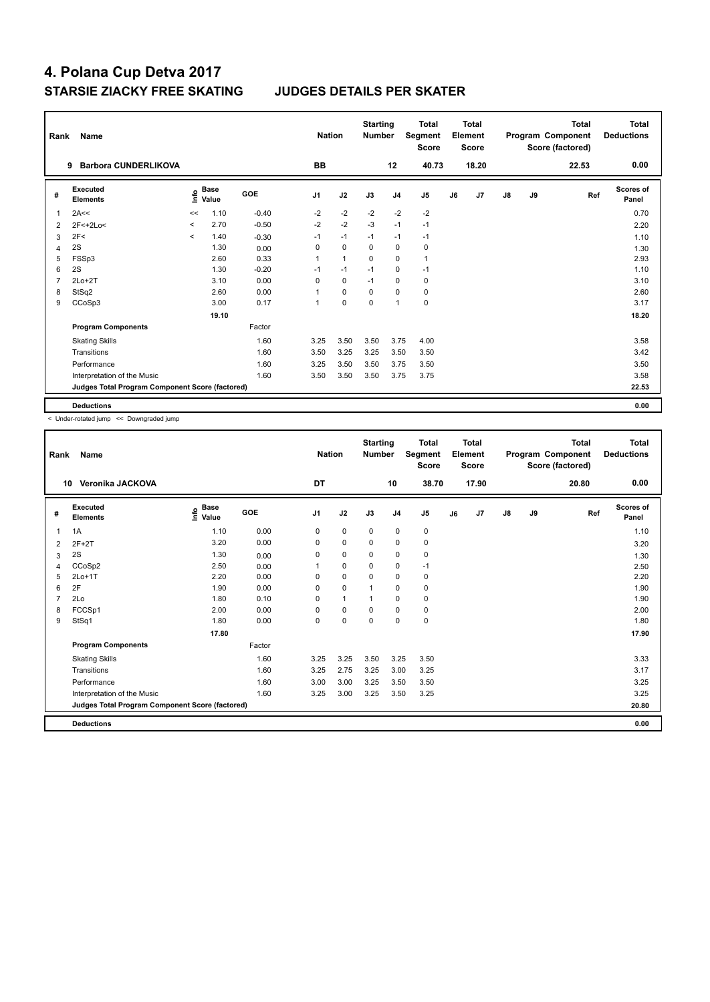| Rank           | Name                                            | <b>Nation</b> |                      | <b>Starting</b><br><b>Number</b> |                | <b>Total</b><br>Segment<br><b>Score</b> |             | Total<br>Element<br><b>Score</b> |                |    | <b>Total</b><br>Program Component<br>Score (factored) | Total<br><b>Deductions</b> |    |       |                           |
|----------------|-------------------------------------------------|---------------|----------------------|----------------------------------|----------------|-----------------------------------------|-------------|----------------------------------|----------------|----|-------------------------------------------------------|----------------------------|----|-------|---------------------------|
|                | <b>Barbora CUNDERLIKOVA</b><br>9                |               |                      |                                  | <b>BB</b>      |                                         |             | 12                               | 40.73          |    | 18.20                                                 |                            |    | 22.53 | 0.00                      |
| #              | <b>Executed</b><br><b>Elements</b>              | info          | <b>Base</b><br>Value | <b>GOE</b>                       | J <sub>1</sub> | J2                                      | J3          | J <sub>4</sub>                   | J <sub>5</sub> | J6 | J7                                                    | $\mathsf{J}8$              | J9 | Ref   | <b>Scores of</b><br>Panel |
| 1              | 2A<<                                            | <<            | 1.10                 | $-0.40$                          | $-2$           | $-2$                                    | $-2$        | $-2$                             | $-2$           |    |                                                       |                            |    |       | 0.70                      |
| 2              | 2F<+2Lo<                                        | $\,<$         | 2.70                 | $-0.50$                          | $-2$           | $-2$                                    | $-3$        | $-1$                             | $-1$           |    |                                                       |                            |    |       | 2.20                      |
| 3              | 2F<                                             | $\prec$       | 1.40                 | $-0.30$                          | $-1$           | $-1$                                    | $-1$        | $-1$                             | $-1$           |    |                                                       |                            |    |       | 1.10                      |
| 4              | 2S                                              |               | 1.30                 | 0.00                             | 0              | $\mathbf 0$                             | 0           | $\mathbf 0$                      | $\mathbf 0$    |    |                                                       |                            |    |       | 1.30                      |
| 5              | FSSp3                                           |               | 2.60                 | 0.33                             | 1              | $\overline{1}$                          | 0           | 0                                | $\mathbf{1}$   |    |                                                       |                            |    |       | 2.93                      |
| 6              | 2S                                              |               | 1.30                 | $-0.20$                          | $-1$           | $-1$                                    | $-1$        | 0                                | $-1$           |    |                                                       |                            |    |       | 1.10                      |
| $\overline{7}$ | $2Lo+2T$                                        |               | 3.10                 | 0.00                             | 0              | $\mathbf 0$                             | $-1$        | $\mathbf 0$                      | 0              |    |                                                       |                            |    |       | 3.10                      |
| 8              | StSq2                                           |               | 2.60                 | 0.00                             | 1              | $\mathbf 0$                             | 0           | $\mathbf 0$                      | $\mathbf 0$    |    |                                                       |                            |    |       | 2.60                      |
| 9              | CCoSp3                                          |               | 3.00                 | 0.17                             | 1              | $\mathbf 0$                             | $\mathbf 0$ | $\mathbf{1}$                     | $\mathbf 0$    |    |                                                       |                            |    |       | 3.17                      |
|                |                                                 |               | 19.10                |                                  |                |                                         |             |                                  |                |    |                                                       |                            |    |       | 18.20                     |
|                | <b>Program Components</b>                       |               |                      | Factor                           |                |                                         |             |                                  |                |    |                                                       |                            |    |       |                           |
|                | <b>Skating Skills</b>                           |               |                      | 1.60                             | 3.25           | 3.50                                    | 3.50        | 3.75                             | 4.00           |    |                                                       |                            |    |       | 3.58                      |
|                | Transitions                                     |               |                      | 1.60                             | 3.50           | 3.25                                    | 3.25        | 3.50                             | 3.50           |    |                                                       |                            |    |       | 3.42                      |
|                | Performance                                     |               |                      | 1.60                             | 3.25           | 3.50                                    | 3.50        | 3.75                             | 3.50           |    |                                                       |                            |    |       | 3.50                      |
|                | Interpretation of the Music                     |               |                      | 1.60                             | 3.50           | 3.50                                    | 3.50        | 3.75                             | 3.75           |    |                                                       |                            |    |       | 3.58                      |
|                | Judges Total Program Component Score (factored) |               |                      |                                  |                |                                         |             |                                  |                |    |                                                       |                            |    |       | 22.53                     |
|                | <b>Deductions</b>                               |               |                      |                                  |                |                                         |             |                                  |                |    |                                                       |                            |    |       | 0.00                      |

< Under-rotated jump << Downgraded jump

| Rank | <b>Name</b>                                     |                             |        | <b>Nation</b>  |              | <b>Starting</b><br><b>Number</b> |                | <b>Total</b><br>Segment<br><b>Score</b> |    | <b>Total</b><br>Element<br><b>Score</b> |               |    | <b>Total</b><br>Program Component<br>Score (factored) | <b>Total</b><br><b>Deductions</b> |
|------|-------------------------------------------------|-----------------------------|--------|----------------|--------------|----------------------------------|----------------|-----------------------------------------|----|-----------------------------------------|---------------|----|-------------------------------------------------------|-----------------------------------|
|      | Veronika JACKOVA<br>10                          |                             |        | DT             |              |                                  | 10             | 38.70                                   |    | 17.90                                   |               |    | 20.80                                                 | 0.00                              |
| #    | Executed<br><b>Elements</b>                     | Base<br>$\frac{6}{5}$ Value | GOE    | J <sub>1</sub> | J2           | J3                               | J <sub>4</sub> | J <sub>5</sub>                          | J6 | J7                                      | $\mathsf{J}8$ | J9 | Ref                                                   | <b>Scores of</b><br>Panel         |
| 1    | 1A                                              | 1.10                        | 0.00   | 0              | $\mathbf 0$  | $\mathbf 0$                      | $\pmb{0}$      | $\mathbf 0$                             |    |                                         |               |    |                                                       | 1.10                              |
| 2    | $2F+2T$                                         | 3.20                        | 0.00   | 0              | 0            | 0                                | 0              | 0                                       |    |                                         |               |    |                                                       | 3.20                              |
| 3    | 2S                                              | 1.30                        | 0.00   | 0              | $\mathbf 0$  | $\mathbf 0$                      | $\mathbf 0$    | 0                                       |    |                                         |               |    |                                                       | 1.30                              |
| 4    | CCoSp2                                          | 2.50                        | 0.00   |                | 0            | 0                                | 0              | $-1$                                    |    |                                         |               |    |                                                       | 2.50                              |
| 5    | $2Lo+1T$                                        | 2.20                        | 0.00   | 0              | $\pmb{0}$    | 0                                | $\mathbf 0$    | 0                                       |    |                                         |               |    |                                                       | 2.20                              |
| 6    | 2F                                              | 1.90                        | 0.00   | 0              | $\mathbf 0$  |                                  | $\mathbf 0$    | 0                                       |    |                                         |               |    |                                                       | 1.90                              |
| 7    | 2Lo                                             | 1.80                        | 0.10   | 0              | $\mathbf{1}$ |                                  | $\mathbf 0$    | 0                                       |    |                                         |               |    |                                                       | 1.90                              |
| 8    | FCCSp1                                          | 2.00                        | 0.00   | $\Omega$       | $\mathbf 0$  | $\Omega$                         | $\mathbf 0$    | $\mathbf 0$                             |    |                                         |               |    |                                                       | 2.00                              |
| 9    | StSq1                                           | 1.80                        | 0.00   | 0              | $\mathbf 0$  | 0                                | 0              | $\mathbf 0$                             |    |                                         |               |    |                                                       | 1.80                              |
|      |                                                 | 17.80                       |        |                |              |                                  |                |                                         |    |                                         |               |    |                                                       | 17.90                             |
|      | <b>Program Components</b>                       |                             | Factor |                |              |                                  |                |                                         |    |                                         |               |    |                                                       |                                   |
|      | <b>Skating Skills</b>                           |                             | 1.60   | 3.25           | 3.25         | 3.50                             | 3.25           | 3.50                                    |    |                                         |               |    |                                                       | 3.33                              |
|      | Transitions                                     |                             | 1.60   | 3.25           | 2.75         | 3.25                             | 3.00           | 3.25                                    |    |                                         |               |    |                                                       | 3.17                              |
|      | Performance                                     |                             | 1.60   | 3.00           | 3.00         | 3.25                             | 3.50           | 3.50                                    |    |                                         |               |    |                                                       | 3.25                              |
|      | Interpretation of the Music                     |                             | 1.60   | 3.25           | 3.00         | 3.25                             | 3.50           | 3.25                                    |    |                                         |               |    |                                                       | 3.25                              |
|      | Judges Total Program Component Score (factored) |                             |        |                |              |                                  |                |                                         |    |                                         |               |    |                                                       | 20.80                             |
|      | <b>Deductions</b>                               |                             |        |                |              |                                  |                |                                         |    |                                         |               |    |                                                       | 0.00                              |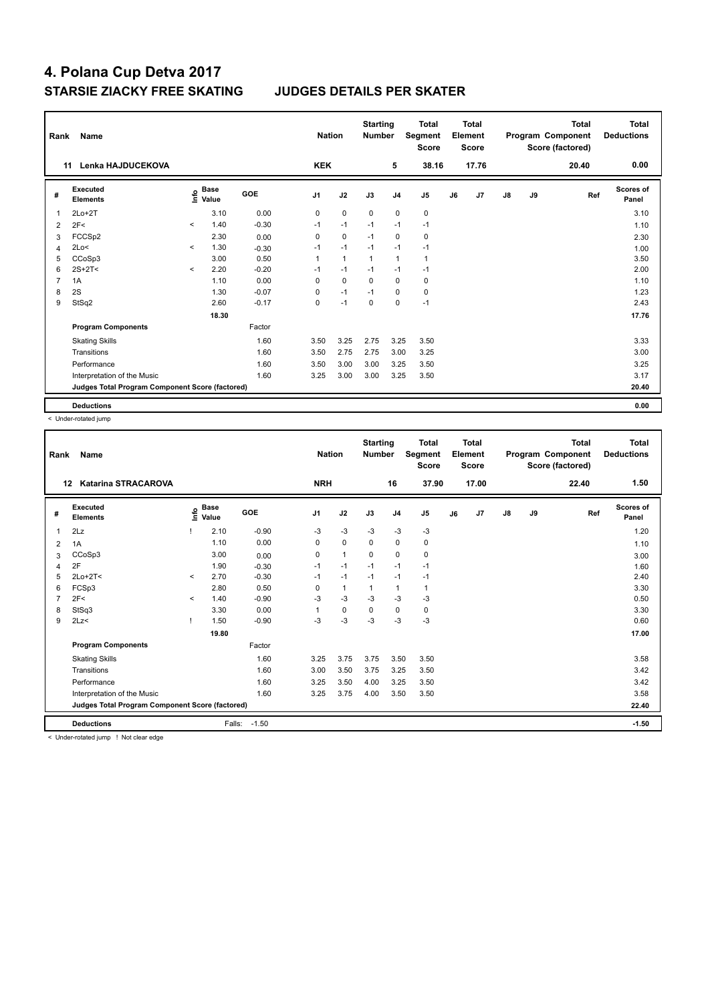| Rank | Name                                            | <b>Nation</b>            |                                  | <b>Starting</b><br><b>Number</b> |                | <b>Total</b><br>Segment<br><b>Score</b> |                | <b>Total</b><br>Element<br><b>Score</b> |                |    | <b>Total</b><br>Program Component<br>Score (factored) | Total<br><b>Deductions</b> |    |       |                           |
|------|-------------------------------------------------|--------------------------|----------------------------------|----------------------------------|----------------|-----------------------------------------|----------------|-----------------------------------------|----------------|----|-------------------------------------------------------|----------------------------|----|-------|---------------------------|
|      | Lenka HAJDUCEKOVA<br>11                         |                          |                                  |                                  | <b>KEK</b>     |                                         |                | 5                                       | 38.16          |    | 17.76                                                 |                            |    | 20.40 | 0.00                      |
| #    | Executed<br><b>Elements</b>                     |                          | <b>Base</b><br>o Base<br>⊆ Value | <b>GOE</b>                       | J <sub>1</sub> | J2                                      | J3             | J <sub>4</sub>                          | J <sub>5</sub> | J6 | J7                                                    | $\mathsf{J}8$              | J9 | Ref   | <b>Scores of</b><br>Panel |
| 1    | $2Lo+2T$                                        |                          | 3.10                             | 0.00                             | 0              | $\mathbf 0$                             | $\mathbf 0$    | $\mathbf 0$                             | $\mathbf 0$    |    |                                                       |                            |    |       | 3.10                      |
| 2    | 2F<                                             | $\overline{\phantom{a}}$ | 1.40                             | $-0.30$                          | $-1$           | $-1$                                    | $-1$           | $-1$                                    | $-1$           |    |                                                       |                            |    |       | 1.10                      |
| 3    | FCCSp2                                          |                          | 2.30                             | 0.00                             | $\Omega$       | $\mathbf 0$                             | $-1$           | $\Omega$                                | 0              |    |                                                       |                            |    |       | 2.30                      |
| 4    | 2Lo<                                            | $\prec$                  | 1.30                             | $-0.30$                          | $-1$           | $-1$                                    | $-1$           | $-1$                                    | $-1$           |    |                                                       |                            |    |       | 1.00                      |
| 5    | CCoSp3                                          |                          | 3.00                             | 0.50                             | 1              | $\mathbf{1}$                            | $\overline{1}$ | $\mathbf{1}$                            | $\mathbf{1}$   |    |                                                       |                            |    |       | 3.50                      |
| 6    | $2S+2T<$                                        | $\hat{\phantom{a}}$      | 2.20                             | $-0.20$                          | $-1$           | $-1$                                    | $-1$           | $-1$                                    | $-1$           |    |                                                       |                            |    |       | 2.00                      |
| 7    | 1A                                              |                          | 1.10                             | 0.00                             | 0              | $\mathbf 0$                             | $\mathbf 0$    | $\mathbf 0$                             | 0              |    |                                                       |                            |    |       | 1.10                      |
| 8    | 2S                                              |                          | 1.30                             | $-0.07$                          | 0              | $-1$                                    | $-1$           | 0                                       | $\pmb{0}$      |    |                                                       |                            |    |       | 1.23                      |
| 9    | StSq2                                           |                          | 2.60                             | $-0.17$                          | 0              | $-1$                                    | $\mathbf 0$    | $\mathbf 0$                             | $-1$           |    |                                                       |                            |    |       | 2.43                      |
|      |                                                 |                          | 18.30                            |                                  |                |                                         |                |                                         |                |    |                                                       |                            |    |       | 17.76                     |
|      | <b>Program Components</b>                       |                          |                                  | Factor                           |                |                                         |                |                                         |                |    |                                                       |                            |    |       |                           |
|      | <b>Skating Skills</b>                           |                          |                                  | 1.60                             | 3.50           | 3.25                                    | 2.75           | 3.25                                    | 3.50           |    |                                                       |                            |    |       | 3.33                      |
|      | Transitions                                     |                          |                                  | 1.60                             | 3.50           | 2.75                                    | 2.75           | 3.00                                    | 3.25           |    |                                                       |                            |    |       | 3.00                      |
|      | Performance                                     |                          |                                  | 1.60                             | 3.50           | 3.00                                    | 3.00           | 3.25                                    | 3.50           |    |                                                       |                            |    |       | 3.25                      |
|      | Interpretation of the Music                     |                          |                                  | 1.60                             | 3.25           | 3.00                                    | 3.00           | 3.25                                    | 3.50           |    |                                                       |                            |    |       | 3.17                      |
|      | Judges Total Program Component Score (factored) |                          |                                  |                                  |                |                                         |                |                                         |                |    |                                                       |                            |    |       | 20.40                     |
|      | <b>Deductions</b>                               |                          |                                  |                                  |                |                                         |                |                                         |                |    |                                                       |                            |    |       | 0.00                      |

< Under-rotated jump

|   | Name<br>Rank<br>12<br><b>Katarina STRACAROVA</b> |              |                                    |         | <b>Nation</b>  |              | <b>Starting</b><br><b>Number</b> |                | <b>Total</b><br>Segment<br><b>Score</b> |    | <b>Total</b><br>Element<br><b>Score</b> |               |    | <b>Total</b><br>Program Component<br>Score (factored) | Total<br><b>Deductions</b> |
|---|--------------------------------------------------|--------------|------------------------------------|---------|----------------|--------------|----------------------------------|----------------|-----------------------------------------|----|-----------------------------------------|---------------|----|-------------------------------------------------------|----------------------------|
|   |                                                  |              |                                    |         | <b>NRH</b>     |              |                                  | 16             | 37.90                                   |    | 17.00                                   |               |    | 22.40                                                 | 1.50                       |
| # | Executed<br><b>Elements</b>                      |              | <b>Base</b><br>$\frac{6}{5}$ Value | GOE     | J <sub>1</sub> | J2           | J3                               | J <sub>4</sub> | J <sub>5</sub>                          | J6 | J7                                      | $\mathsf{J}8$ | J9 | Ref                                                   | Scores of<br>Panel         |
| 1 | 2Lz                                              |              | 2.10                               | $-0.90$ | -3             | $-3$         | $-3$                             | $-3$           | $-3$                                    |    |                                         |               |    |                                                       | 1.20                       |
| 2 | 1A                                               |              | 1.10                               | 0.00    | 0              | $\mathbf 0$  | $\Omega$                         | $\mathbf 0$    | 0                                       |    |                                         |               |    |                                                       | 1.10                       |
| 3 | CCoSp3                                           |              | 3.00                               | 0.00    | 0              | $\mathbf{1}$ | $\Omega$                         | $\mathbf 0$    | $\mathbf 0$                             |    |                                         |               |    |                                                       | 3.00                       |
| 4 | 2F                                               |              | 1.90                               | $-0.30$ | $-1$           | $-1$         | $-1$                             | $-1$           | $-1$                                    |    |                                         |               |    |                                                       | 1.60                       |
| 5 | $2Lo+2T<$                                        | $\checkmark$ | 2.70                               | $-0.30$ | $-1$           | $-1$         | $-1$                             | $-1$           | -1                                      |    |                                         |               |    |                                                       | 2.40                       |
| 6 | FCSp3                                            |              | 2.80                               | 0.50    | 0              | $\mathbf{1}$ |                                  | $\overline{1}$ |                                         |    |                                         |               |    |                                                       | 3.30                       |
|   | 2F<                                              | $\prec$      | 1.40                               | $-0.90$ | -3             | $-3$         | $-3$                             | $-3$           | -3                                      |    |                                         |               |    |                                                       | 0.50                       |
| 8 | StSq3                                            |              | 3.30                               | 0.00    | 1              | $\mathbf 0$  | 0                                | $\mathbf 0$    | $\pmb{0}$                               |    |                                         |               |    |                                                       | 3.30                       |
| 9 | 2Lz                                              | т            | 1.50                               | $-0.90$ | $-3$           | $-3$         | $-3$                             | $-3$           | $-3$                                    |    |                                         |               |    |                                                       | 0.60                       |
|   |                                                  |              | 19.80                              |         |                |              |                                  |                |                                         |    |                                         |               |    |                                                       | 17.00                      |
|   | <b>Program Components</b>                        |              |                                    | Factor  |                |              |                                  |                |                                         |    |                                         |               |    |                                                       |                            |
|   | <b>Skating Skills</b>                            |              |                                    | 1.60    | 3.25           | 3.75         | 3.75                             | 3.50           | 3.50                                    |    |                                         |               |    |                                                       | 3.58                       |
|   | Transitions                                      |              |                                    | 1.60    | 3.00           | 3.50         | 3.75                             | 3.25           | 3.50                                    |    |                                         |               |    |                                                       | 3.42                       |
|   | Performance                                      |              |                                    | 1.60    | 3.25           | 3.50         | 4.00                             | 3.25           | 3.50                                    |    |                                         |               |    |                                                       | 3.42                       |
|   | Interpretation of the Music                      |              |                                    | 1.60    | 3.25           | 3.75         | 4.00                             | 3.50           | 3.50                                    |    |                                         |               |    |                                                       | 3.58                       |
|   | Judges Total Program Component Score (factored)  |              |                                    |         |                |              |                                  |                |                                         |    |                                         |               |    |                                                       | 22.40                      |
|   | <b>Deductions</b>                                |              | Falls:                             | $-1.50$ |                |              |                                  |                |                                         |    |                                         |               |    |                                                       | $-1.50$                    |

< Under-rotated jump ! Not clear edge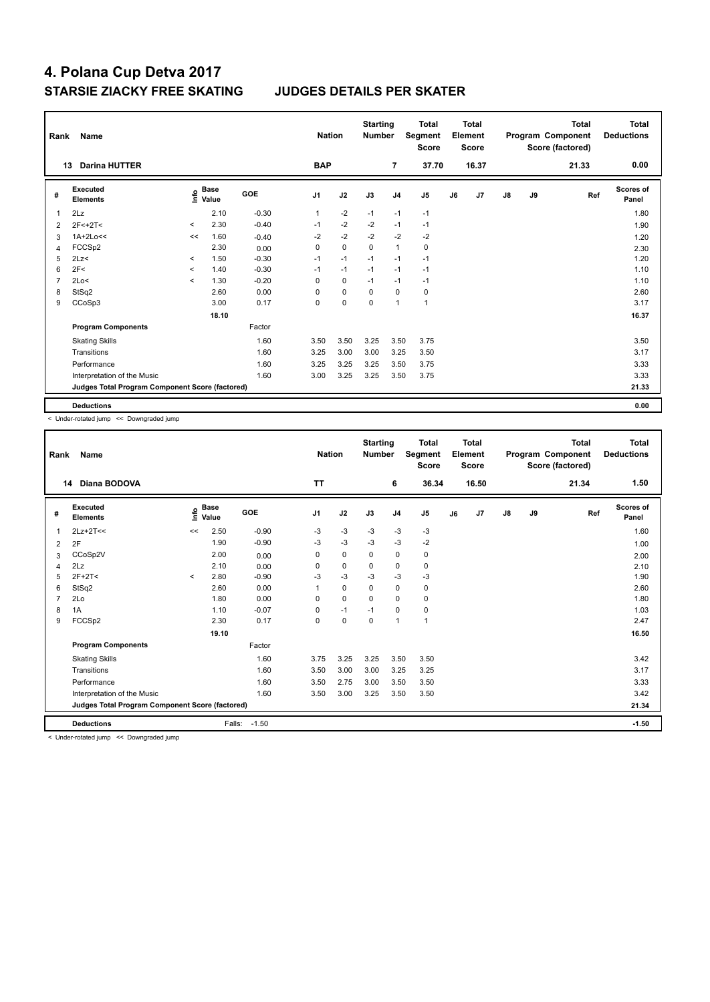| Rank | Name                                            | <b>Nation</b>            |                                  | <b>Starting</b><br><b>Number</b> |                | <b>Total</b><br>Segment<br><b>Score</b> |             | <b>Total</b><br>Element<br><b>Score</b> |                |    | <b>Total</b><br>Program Component<br>Score (factored) | Total<br><b>Deductions</b> |    |       |                           |
|------|-------------------------------------------------|--------------------------|----------------------------------|----------------------------------|----------------|-----------------------------------------|-------------|-----------------------------------------|----------------|----|-------------------------------------------------------|----------------------------|----|-------|---------------------------|
|      | <b>Darina HUTTER</b><br>13                      |                          |                                  |                                  | <b>BAP</b>     |                                         |             | $\overline{7}$                          | 37.70          |    | 16.37                                                 |                            |    | 21.33 | 0.00                      |
| #    | Executed<br><b>Elements</b>                     |                          | <b>Base</b><br>o Base<br>⊆ Value | <b>GOE</b>                       | J <sub>1</sub> | J2                                      | J3          | J <sub>4</sub>                          | J <sub>5</sub> | J6 | J7                                                    | $\mathsf{J}8$              | J9 | Ref   | <b>Scores of</b><br>Panel |
| 1    | 2Lz                                             |                          | 2.10                             | $-0.30$                          | 1              | $-2$                                    | $-1$        | $-1$                                    | $-1$           |    |                                                       |                            |    |       | 1.80                      |
| 2    | $2F < +2T <$                                    | $\prec$                  | 2.30                             | $-0.40$                          | $-1$           | $-2$                                    | $-2$        | $-1$                                    | $-1$           |    |                                                       |                            |    |       | 1.90                      |
| 3    | $1A+2Lo<<$                                      | <<                       | 1.60                             | $-0.40$                          | $-2$           | $-2$                                    | $-2$        | $-2$                                    | $-2$           |    |                                                       |                            |    |       | 1.20                      |
| 4    | FCCSp2                                          |                          | 2.30                             | 0.00                             | 0              | $\mathbf 0$                             | $\mathbf 0$ | $\mathbf{1}$                            | $\pmb{0}$      |    |                                                       |                            |    |       | 2.30                      |
| 5    | 2Lz                                             | $\overline{\phantom{a}}$ | 1.50                             | $-0.30$                          | $-1$           | $-1$                                    | $-1$        | $-1$                                    | $-1$           |    |                                                       |                            |    |       | 1.20                      |
| 6    | 2F<                                             | $\prec$                  | 1.40                             | $-0.30$                          | $-1$           | $-1$                                    | $-1$        | $-1$                                    | $-1$           |    |                                                       |                            |    |       | 1.10                      |
| 7    | 2Lo<                                            | $\prec$                  | 1.30                             | $-0.20$                          | 0              | $\mathbf 0$                             | $-1$        | $-1$                                    | $-1$           |    |                                                       |                            |    |       | 1.10                      |
| 8    | StSq2                                           |                          | 2.60                             | 0.00                             | $\Omega$       | $\mathbf 0$                             | 0           | $\mathbf 0$                             | $\pmb{0}$      |    |                                                       |                            |    |       | 2.60                      |
| 9    | CCoSp3                                          |                          | 3.00                             | 0.17                             | 0              | $\mathbf 0$                             | 0           | $\overline{1}$                          | $\mathbf{1}$   |    |                                                       |                            |    |       | 3.17                      |
|      |                                                 |                          | 18.10                            |                                  |                |                                         |             |                                         |                |    |                                                       |                            |    |       | 16.37                     |
|      | <b>Program Components</b>                       |                          |                                  | Factor                           |                |                                         |             |                                         |                |    |                                                       |                            |    |       |                           |
|      | <b>Skating Skills</b>                           |                          |                                  | 1.60                             | 3.50           | 3.50                                    | 3.25        | 3.50                                    | 3.75           |    |                                                       |                            |    |       | 3.50                      |
|      | Transitions                                     |                          |                                  | 1.60                             | 3.25           | 3.00                                    | 3.00        | 3.25                                    | 3.50           |    |                                                       |                            |    |       | 3.17                      |
|      | Performance                                     |                          |                                  | 1.60                             | 3.25           | 3.25                                    | 3.25        | 3.50                                    | 3.75           |    |                                                       |                            |    |       | 3.33                      |
|      | Interpretation of the Music                     |                          |                                  | 1.60                             | 3.00           | 3.25                                    | 3.25        | 3.50                                    | 3.75           |    |                                                       |                            |    |       | 3.33                      |
|      | Judges Total Program Component Score (factored) |                          |                                  |                                  |                |                                         |             |                                         |                |    |                                                       |                            |    |       | 21.33                     |
|      | <b>Deductions</b>                               |                          |                                  |                                  |                |                                         |             |                                         |                |    |                                                       |                            |    |       | 0.00                      |

< Under-rotated jump << Downgraded jump

| Rank           | <b>Name</b>                                     |         |                      |         | <b>Nation</b>  |             | <b>Starting</b><br><b>Number</b> |                | <b>Total</b><br>Segment<br><b>Score</b> |    | <b>Total</b><br>Element<br><b>Score</b> |               |    | <b>Total</b><br>Program Component<br>Score (factored) | <b>Total</b><br><b>Deductions</b> |
|----------------|-------------------------------------------------|---------|----------------------|---------|----------------|-------------|----------------------------------|----------------|-----------------------------------------|----|-----------------------------------------|---------------|----|-------------------------------------------------------|-----------------------------------|
|                | Diana BODOVA<br>14                              |         |                      |         | <b>TT</b>      |             |                                  | 6              | 36.34                                   |    | 16.50                                   |               |    | 21.34                                                 | 1.50                              |
| #              | Executed<br><b>Elements</b>                     | lnfo    | <b>Base</b><br>Value | GOE     | J <sub>1</sub> | J2          | J3                               | J <sub>4</sub> | J <sub>5</sub>                          | J6 | J7                                      | $\mathsf{J}8$ | J9 | Ref                                                   | <b>Scores of</b><br>Panel         |
| 1              | $2Lz+2T<<$                                      | <<      | 2.50                 | $-0.90$ | -3             | $-3$        | $-3$                             | $-3$           | $-3$                                    |    |                                         |               |    |                                                       | 1.60                              |
| 2              | 2F                                              |         | 1.90                 | $-0.90$ | -3             | $-3$        | -3                               | -3             | $-2$                                    |    |                                         |               |    |                                                       | 1.00                              |
| 3              | CCoSp2V                                         |         | 2.00                 | 0.00    | 0              | $\mathbf 0$ | 0                                | $\mathbf 0$    | $\mathbf 0$                             |    |                                         |               |    |                                                       | 2.00                              |
| 4              | 2Lz                                             |         | 2.10                 | 0.00    | $\Omega$       | $\pmb{0}$   | $\Omega$                         | $\pmb{0}$      | $\mathbf 0$                             |    |                                         |               |    |                                                       | 2.10                              |
| 5              | $2F+2T<$                                        | $\prec$ | 2.80                 | $-0.90$ | $-3$           | $-3$        | $-3$                             | $-3$           | $-3$                                    |    |                                         |               |    |                                                       | 1.90                              |
| 6              | StSq2                                           |         | 2.60                 | 0.00    | 1              | $\mathbf 0$ | $\Omega$                         | $\mathbf 0$    | 0                                       |    |                                         |               |    |                                                       | 2.60                              |
| $\overline{7}$ | 2Lo                                             |         | 1.80                 | 0.00    | 0              | $\mathbf 0$ | $\Omega$                         | $\mathbf 0$    | $\mathbf 0$                             |    |                                         |               |    |                                                       | 1.80                              |
| 8              | 1A                                              |         | 1.10                 | $-0.07$ | 0              | $-1$        | $-1$                             | $\mathbf 0$    | 0                                       |    |                                         |               |    |                                                       | 1.03                              |
| 9              | FCCSp2                                          |         | 2.30                 | 0.17    | $\mathbf 0$    | $\mathbf 0$ | $\mathbf 0$                      | $\overline{1}$ | $\mathbf{1}$                            |    |                                         |               |    |                                                       | 2.47                              |
|                |                                                 |         | 19.10                |         |                |             |                                  |                |                                         |    |                                         |               |    |                                                       | 16.50                             |
|                | <b>Program Components</b>                       |         |                      | Factor  |                |             |                                  |                |                                         |    |                                         |               |    |                                                       |                                   |
|                | <b>Skating Skills</b>                           |         |                      | 1.60    | 3.75           | 3.25        | 3.25                             | 3.50           | 3.50                                    |    |                                         |               |    |                                                       | 3.42                              |
|                | Transitions                                     |         |                      | 1.60    | 3.50           | 3.00        | 3.00                             | 3.25           | 3.25                                    |    |                                         |               |    |                                                       | 3.17                              |
|                | Performance                                     |         |                      | 1.60    | 3.50           | 2.75        | 3.00                             | 3.50           | 3.50                                    |    |                                         |               |    |                                                       | 3.33                              |
|                | Interpretation of the Music                     |         |                      | 1.60    | 3.50           | 3.00        | 3.25                             | 3.50           | 3.50                                    |    |                                         |               |    |                                                       | 3.42                              |
|                | Judges Total Program Component Score (factored) |         |                      |         |                |             |                                  |                |                                         |    |                                         |               |    |                                                       | 21.34                             |
|                | <b>Deductions</b>                               |         | Falls:               | $-1.50$ |                |             |                                  |                |                                         |    |                                         |               |    |                                                       | $-1.50$                           |

< Under-rotated jump << Downgraded jump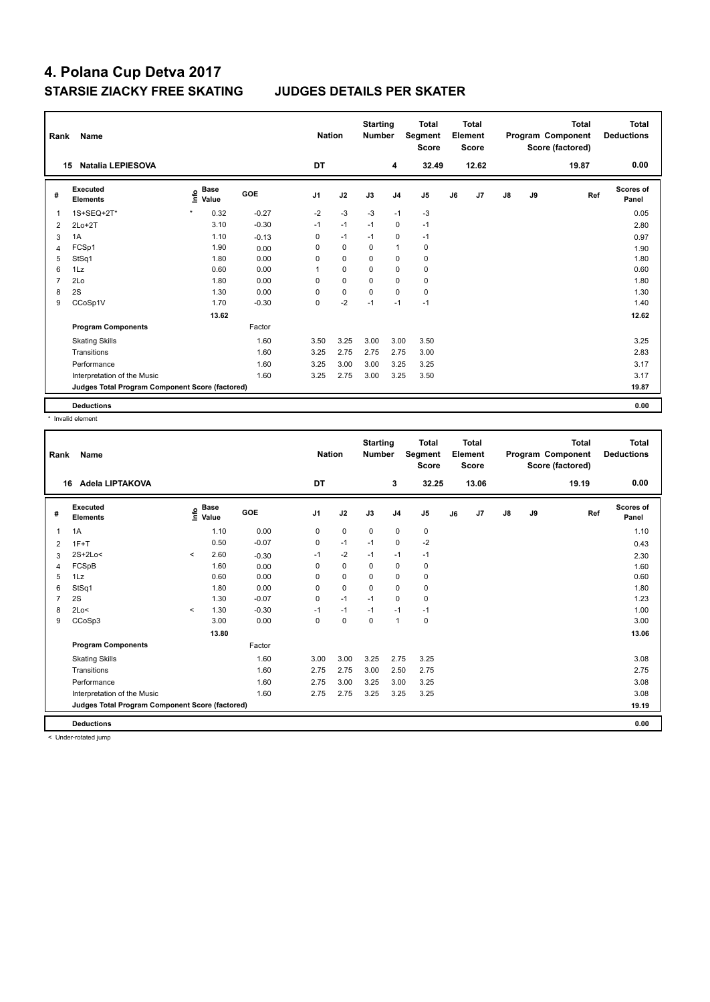| Rank           | Name                                            |                              |         | <b>Nation</b>  |             | <b>Starting</b><br><b>Number</b> |                | Total<br>Segment<br><b>Score</b> |    | Total<br>Element<br><b>Score</b> |               |    | <b>Total</b><br>Program Component<br>Score (factored) | Total<br><b>Deductions</b> |
|----------------|-------------------------------------------------|------------------------------|---------|----------------|-------------|----------------------------------|----------------|----------------------------------|----|----------------------------------|---------------|----|-------------------------------------------------------|----------------------------|
|                | <b>Natalia LEPIESOVA</b><br>15                  |                              |         | DT             |             |                                  | 4              | 32.49                            |    | 12.62                            |               |    | 19.87                                                 | 0.00                       |
| #              | Executed<br><b>Elements</b>                     | <b>Base</b><br>١nfo<br>Value | GOE     | J <sub>1</sub> | J2          | J3                               | J <sub>4</sub> | J <sub>5</sub>                   | J6 | J7                               | $\mathsf{J}8$ | J9 | Ref                                                   | <b>Scores of</b><br>Panel  |
| $\overline{1}$ | 1S+SEQ+2T*                                      | $\star$<br>0.32              | $-0.27$ | $-2$           | $-3$        | $-3$                             | $-1$           | $-3$                             |    |                                  |               |    |                                                       | 0.05                       |
| 2              | $2Lo+2T$                                        | 3.10                         | $-0.30$ | $-1$           | $-1$        | $-1$                             | $\mathbf 0$    | $-1$                             |    |                                  |               |    |                                                       | 2.80                       |
| 3              | 1A                                              | 1.10                         | $-0.13$ | 0              | $-1$        | $-1$                             | $\mathbf 0$    | $-1$                             |    |                                  |               |    |                                                       | 0.97                       |
| $\overline{4}$ | FCSp1                                           | 1.90                         | 0.00    | 0              | $\mathbf 0$ | $\mathbf 0$                      | $\mathbf{1}$   | $\pmb{0}$                        |    |                                  |               |    |                                                       | 1.90                       |
| 5              | StSq1                                           | 1.80                         | 0.00    | $\Omega$       | $\Omega$    | $\Omega$                         | $\mathbf 0$    | 0                                |    |                                  |               |    |                                                       | 1.80                       |
| 6              | 1Lz                                             | 0.60                         | 0.00    |                | $\mathbf 0$ | 0                                | $\mathbf 0$    | $\mathbf 0$                      |    |                                  |               |    |                                                       | 0.60                       |
| $\overline{7}$ | 2Lo                                             | 1.80                         | 0.00    | 0              | $\mathbf 0$ | $\Omega$                         | $\mathbf 0$    | $\mathbf 0$                      |    |                                  |               |    |                                                       | 1.80                       |
| 8              | 2S                                              | 1.30                         | 0.00    | 0              | 0           | 0                                | $\mathbf 0$    | 0                                |    |                                  |               |    |                                                       | 1.30                       |
| 9              | CCoSp1V                                         | 1.70                         | $-0.30$ | 0              | $-2$        | $-1$                             | $-1$           | $-1$                             |    |                                  |               |    |                                                       | 1.40                       |
|                |                                                 | 13.62                        |         |                |             |                                  |                |                                  |    |                                  |               |    |                                                       | 12.62                      |
|                | <b>Program Components</b>                       |                              | Factor  |                |             |                                  |                |                                  |    |                                  |               |    |                                                       |                            |
|                | <b>Skating Skills</b>                           |                              | 1.60    | 3.50           | 3.25        | 3.00                             | 3.00           | 3.50                             |    |                                  |               |    |                                                       | 3.25                       |
|                | Transitions                                     |                              | 1.60    | 3.25           | 2.75        | 2.75                             | 2.75           | 3.00                             |    |                                  |               |    |                                                       | 2.83                       |
|                | Performance                                     |                              | 1.60    | 3.25           | 3.00        | 3.00                             | 3.25           | 3.25                             |    |                                  |               |    |                                                       | 3.17                       |
|                | Interpretation of the Music                     |                              | 1.60    | 3.25           | 2.75        | 3.00                             | 3.25           | 3.50                             |    |                                  |               |    |                                                       | 3.17                       |
|                | Judges Total Program Component Score (factored) |                              |         |                |             |                                  |                |                                  |    |                                  |               |    |                                                       | 19.87                      |
|                | <b>Deductions</b>                               |                              |         |                |             |                                  |                |                                  |    |                                  |               |    |                                                       | 0.00                       |

\* Invalid element

| Rank | <b>Name</b>                                     |         |                                    |         | <b>Nation</b>  |             | <b>Starting</b><br><b>Number</b> |                | <b>Total</b><br>Segment<br><b>Score</b> |    | <b>Total</b><br>Element<br><b>Score</b> |               |    | <b>Total</b><br>Program Component<br>Score (factored) | <b>Total</b><br><b>Deductions</b> |
|------|-------------------------------------------------|---------|------------------------------------|---------|----------------|-------------|----------------------------------|----------------|-----------------------------------------|----|-----------------------------------------|---------------|----|-------------------------------------------------------|-----------------------------------|
|      | Adela LIPTAKOVA<br>16                           |         |                                    |         | DT             |             |                                  | 3              | 32.25                                   |    | 13.06                                   |               |    | 19.19                                                 | 0.00                              |
| #    | Executed<br><b>Elements</b>                     |         | <b>Base</b><br>$\frac{6}{5}$ Value | GOE     | J <sub>1</sub> | J2          | J3                               | J <sub>4</sub> | J <sub>5</sub>                          | J6 | J7                                      | $\mathsf{J}8$ | J9 | Ref                                                   | <b>Scores of</b><br>Panel         |
| 1    | 1A                                              |         | 1.10                               | 0.00    | 0              | $\mathbf 0$ | $\mathbf 0$                      | $\mathbf 0$    | $\pmb{0}$                               |    |                                         |               |    |                                                       | 1.10                              |
| 2    | $1F+T$                                          |         | 0.50                               | $-0.07$ | 0              | $-1$        | $-1$                             | 0              | $-2$                                    |    |                                         |               |    |                                                       | 0.43                              |
| 3    | 2S+2Lo<                                         | $\prec$ | 2.60                               | $-0.30$ | $-1$           | $-2$        | $-1$                             | $-1$           | $-1$                                    |    |                                         |               |    |                                                       | 2.30                              |
| 4    | FCSpB                                           |         | 1.60                               | 0.00    | 0              | $\mathbf 0$ | 0                                | $\mathbf 0$    | 0                                       |    |                                         |               |    |                                                       | 1.60                              |
| 5    | 1Lz                                             |         | 0.60                               | 0.00    | 0              | $\mathbf 0$ | 0                                | $\mathbf 0$    | $\pmb{0}$                               |    |                                         |               |    |                                                       | 0.60                              |
| 6    | StSq1                                           |         | 1.80                               | 0.00    | 0              | $\mathbf 0$ | $\Omega$                         | $\mathbf 0$    | $\mathbf 0$                             |    |                                         |               |    |                                                       | 1.80                              |
|      | 2S                                              |         | 1.30                               | $-0.07$ | 0              | $-1$        | $-1$                             | 0              | $\pmb{0}$                               |    |                                         |               |    |                                                       | 1.23                              |
| 8    | 2Lo<                                            | $\prec$ | 1.30                               | $-0.30$ | $-1$           | $-1$        | $-1$                             | $-1$           | $-1$                                    |    |                                         |               |    |                                                       | 1.00                              |
| 9    | CCoSp3                                          |         | 3.00                               | 0.00    | 0              | $\mathbf 0$ | 0                                | $\overline{1}$ | $\mathbf 0$                             |    |                                         |               |    |                                                       | 3.00                              |
|      |                                                 |         | 13.80                              |         |                |             |                                  |                |                                         |    |                                         |               |    |                                                       | 13.06                             |
|      | <b>Program Components</b>                       |         |                                    | Factor  |                |             |                                  |                |                                         |    |                                         |               |    |                                                       |                                   |
|      | <b>Skating Skills</b>                           |         |                                    | 1.60    | 3.00           | 3.00        | 3.25                             | 2.75           | 3.25                                    |    |                                         |               |    |                                                       | 3.08                              |
|      | Transitions                                     |         |                                    | 1.60    | 2.75           | 2.75        | 3.00                             | 2.50           | 2.75                                    |    |                                         |               |    |                                                       | 2.75                              |
|      | Performance                                     |         |                                    | 1.60    | 2.75           | 3.00        | 3.25                             | 3.00           | 3.25                                    |    |                                         |               |    |                                                       | 3.08                              |
|      | Interpretation of the Music                     |         |                                    | 1.60    | 2.75           | 2.75        | 3.25                             | 3.25           | 3.25                                    |    |                                         |               |    |                                                       | 3.08                              |
|      | Judges Total Program Component Score (factored) |         |                                    |         |                |             |                                  |                |                                         |    |                                         |               |    |                                                       | 19.19                             |
|      | <b>Deductions</b>                               |         |                                    |         |                |             |                                  |                |                                         |    |                                         |               |    |                                                       | 0.00                              |

< Under-rotated jump